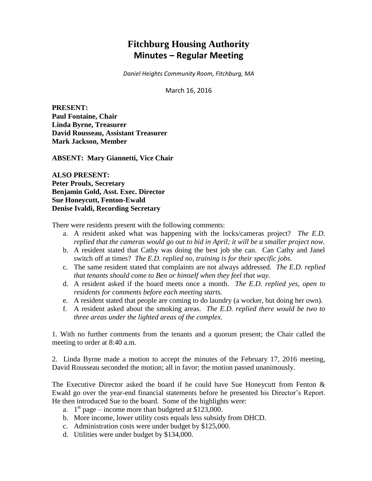# **Fitchburg Housing Authority Minutes – Regular Meeting**

*Daniel Heights Community Room, Fitchburg, MA*

March 16, 2016

**PRESENT: Paul Fontaine, Chair Linda Byrne, Treasurer David Rousseau, Assistant Treasurer Mark Jackson, Member**

**ABSENT: Mary Giannetti, Vice Chair**

**ALSO PRESENT: Peter Proulx, Secretary Benjamin Gold, Asst. Exec. Director Sue Honeycutt, Fenton-Ewald Denise Ivaldi, Recording Secretary**

There were residents present with the following comments:

- a. A resident asked what was happening with the locks/cameras project? *The E.D. replied that the cameras would go out to bid in April; it will be a smaller project now.*
- b. A resident stated that Cathy was doing the best job she can. Can Cathy and Janel switch off at times? *The E.D. replied no, training is for their specific jobs.*
- c. The same resident stated that complaints are not always addressed. *The E.D. replied that tenants should come to Ben or himself when they feel that way.*
- d. A resident asked if the board meets once a month. *The E.D. replied yes, open to residents for comments before each meeting starts.*
- e. A resident stated that people are coming to do laundry (a worker, but doing her own).
- f. A resident asked about the smoking areas. *The E.D. replied there would be two to three areas under the lighted areas of the complex.*

1. With no further comments from the tenants and a quorum present; the Chair called the meeting to order at 8:40 a.m.

2. Linda Byrne made a motion to accept the minutes of the February 17, 2016 meeting, David Rousseau seconded the motion; all in favor; the motion passed unanimously.

The Executive Director asked the board if he could have Sue Honeycutt from Fenton & Ewald go over the year-end financial statements before he presented his Director's Report. He then introduced Sue to the board. Some of the highlights were:

- a.  $1<sup>st</sup>$  page income more than budgeted at \$123,000.
- b. More income, lower utility costs equals less subsidy from DHCD.
- c. Administration costs were under budget by \$125,000.
- d. Utilities were under budget by \$134,000.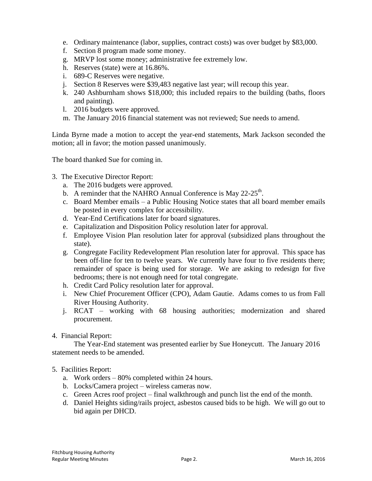- e. Ordinary maintenance (labor, supplies, contract costs) was over budget by \$83,000.
- f. Section 8 program made some money.
- g. MRVP lost some money; administrative fee extremely low.
- h. Reserves (state) were at 16.86%.
- i. 689-C Reserves were negative.
- j. Section 8 Reserves were \$39,483 negative last year; will recoup this year.
- k. 240 Ashburnham shows \$18,000; this included repairs to the building (baths, floors and painting).
- l. 2016 budgets were approved.
- m. The January 2016 financial statement was not reviewed; Sue needs to amend.

Linda Byrne made a motion to accept the year-end statements, Mark Jackson seconded the motion; all in favor; the motion passed unanimously.

The board thanked Sue for coming in.

- 3. The Executive Director Report:
	- a. The 2016 budgets were approved.
	- b. A reminder that the NAHRO Annual Conference is May  $22-25$ <sup>th</sup>.
	- c. Board Member emails a Public Housing Notice states that all board member emails be posted in every complex for accessibility.
	- d. Year-End Certifications later for board signatures.
	- e. Capitalization and Disposition Policy resolution later for approval.
	- f. Employee Vision Plan resolution later for approval (subsidized plans throughout the state).
	- g. Congregate Facility Redevelopment Plan resolution later for approval. This space has been off-line for ten to twelve years. We currently have four to five residents there; remainder of space is being used for storage. We are asking to redesign for five bedrooms; there is not enough need for total congregate.
	- h. Credit Card Policy resolution later for approval.
	- i. New Chief Procurement Officer (CPO), Adam Gautie. Adams comes to us from Fall River Housing Authority.
	- j. RCAT working with 68 housing authorities; modernization and shared procurement.
- 4. Financial Report:

The Year-End statement was presented earlier by Sue Honeycutt. The January 2016 statement needs to be amended.

- 5. Facilities Report:
	- a. Work orders 80% completed within 24 hours.
	- b. Locks/Camera project wireless cameras now.
	- c. Green Acres roof project final walkthrough and punch list the end of the month.
	- d. Daniel Heights siding/rails project, asbestos caused bids to be high. We will go out to bid again per DHCD.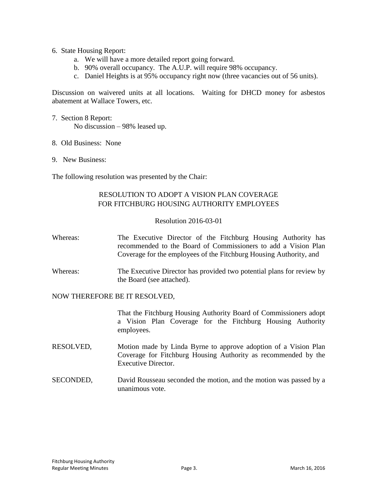- 6. State Housing Report:
	- a. We will have a more detailed report going forward.
	- b. 90% overall occupancy. The A.U.P. will require 98% occupancy.
	- c. Daniel Heights is at 95% occupancy right now (three vacancies out of 56 units).

Discussion on waivered units at all locations. Waiting for DHCD money for asbestos abatement at Wallace Towers, etc.

- 7. Section 8 Report: No discussion – 98% leased up.
- 8. Old Business: None
- 9. New Business:

The following resolution was presented by the Chair:

# RESOLUTION TO ADOPT A VISION PLAN COVERAGE FOR FITCHBURG HOUSING AUTHORITY EMPLOYEES

## Resolution 2016-03-01

| Whereas: | The Executive Director of the Fitchburg Housing Authority has<br>recommended to the Board of Commissioners to add a Vision Plan<br>Coverage for the employees of the Fitchburg Housing Authority, and |
|----------|-------------------------------------------------------------------------------------------------------------------------------------------------------------------------------------------------------|
| Whereas: | The Executive Director has provided two potential plans for review by<br>the Board (see attached).                                                                                                    |

### NOW THEREFORE BE IT RESOLVED,

That the Fitchburg Housing Authority Board of Commissioners adopt a Vision Plan Coverage for the Fitchburg Housing Authority employees.

- RESOLVED, Motion made by Linda Byrne to approve adoption of a Vision Plan Coverage for Fitchburg Housing Authority as recommended by the Executive Director.
- SECONDED, David Rousseau seconded the motion, and the motion was passed by a unanimous vote.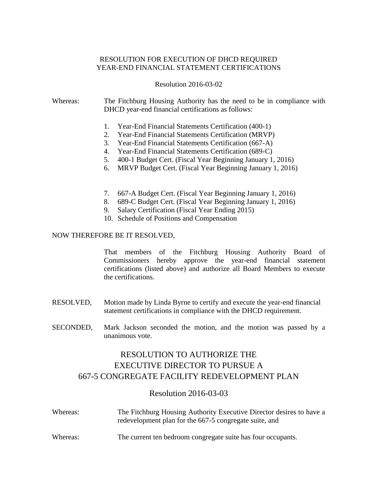# RESOLUTION FOR EXECUTION OF DHCD REQUIRED YEAR-END FINANCIAL STATEMENT CERTIFICATIONS

Resolution 2016-03-02

## Whereas: The Fitchburg Housing Authority has the need to be in compliance with DHCD year-end financial certifications as follows:

- 1. Year-End Financial Statements Certification (400-1)
- 2. Year-End Financial Statements Certification (MRVP)
- 3. Year-End Financial Statements Certification (667-A)
- 4. Year-End Financial Statements Certification (689-C)
- 5. 400-1 Budget Cert. (Fiscal Year Beginning January 1, 2016)
- 6. MRVP Budget Cert. (Fiscal Year Beginning January 1, 2016)
- 7. 667-A Budget Cert. (Fiscal Year Beginning January 1, 2016)
- 8. 689-C Budget Cert. (Fiscal Year Beginning January 1, 2016)
- 9. Salary Certification (Fiscal Year Ending 2015)
- 10. Schedule of Positions and Compensation

## NOW THEREFORE BE IT RESOLVED,

That members of the Fitchburg Housing Authority Board of Commissioners hereby approve the year-end financial statement certifications (listed above) and authorize all Board Members to execute the certifications.

- RESOLVED, Motion made by Linda Byrne to certify and execute the year-end financial statement certifications in compliance with the DHCD requirement.
- SECONDED, Mark Jackson seconded the motion, and the motion was passed by a unanimous vote.

# RESOLUTION TO AUTHORIZE THE EXECUTIVE DIRECTOR TO PURSUE A 667-5 CONGREGATE FACILITY REDEVELOPMENT PLAN

# Resolution 2016-03-03

| Whereas: | The Fitchburg Housing Authority Executive Director desires to have a<br>redevelopment plan for the 667-5 congregate suite, and |
|----------|--------------------------------------------------------------------------------------------------------------------------------|
| Whereas: | The current ten bedroom congregate suite has four occupants.                                                                   |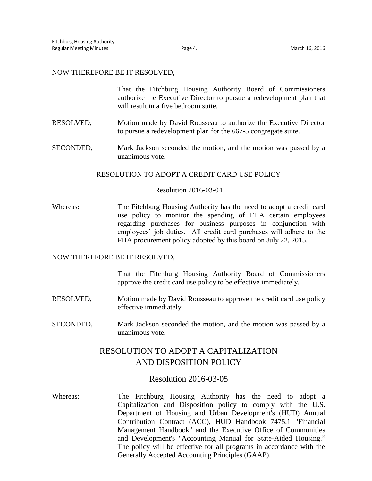#### NOW THEREFORE BE IT RESOLVED,

|  |                                      | That the Fitchburg Housing Authority Board of Commissioners          |  |  |  |
|--|--------------------------------------|----------------------------------------------------------------------|--|--|--|
|  |                                      | authorize the Executive Director to pursue a redevelopment plan that |  |  |  |
|  | will result in a five bedroom suite. |                                                                      |  |  |  |

RESOLVED, Motion made by David Rousseau to authorize the Executive Director to pursue a redevelopment plan for the 667-5 congregate suite.

SECONDED, Mark Jackson seconded the motion, and the motion was passed by a unanimous vote.

### RESOLUTION TO ADOPT A CREDIT CARD USE POLICY

#### Resolution 2016-03-04

Whereas: The Fitchburg Housing Authority has the need to adopt a credit card use policy to monitor the spending of FHA certain employees regarding purchases for business purposes in conjunction with employees' job duties. All credit card purchases will adhere to the FHA procurement policy adopted by this board on July 22, 2015.

### NOW THEREFORE BE IT RESOLVED,

That the Fitchburg Housing Authority Board of Commissioners approve the credit card use policy to be effective immediately.

- RESOLVED, Motion made by David Rousseau to approve the credit card use policy effective immediately.
- SECONDED, Mark Jackson seconded the motion, and the motion was passed by a unanimous vote.

# RESOLUTION TO ADOPT A CAPITALIZATION AND DISPOSITION POLICY

## Resolution 2016-03-05

Whereas: The Fitchburg Housing Authority has the need to adopt a Capitalization and Disposition policy to comply with the U.S. Department of Housing and Urban Development's (HUD) Annual Contribution Contract (ACC), HUD Handbook 7475.1 "Financial Management Handbook" and the Executive Office of Communities and Development's "Accounting Manual for State-Aided Housing." The policy will be effective for all programs in accordance with the Generally Accepted Accounting Principles (GAAP).